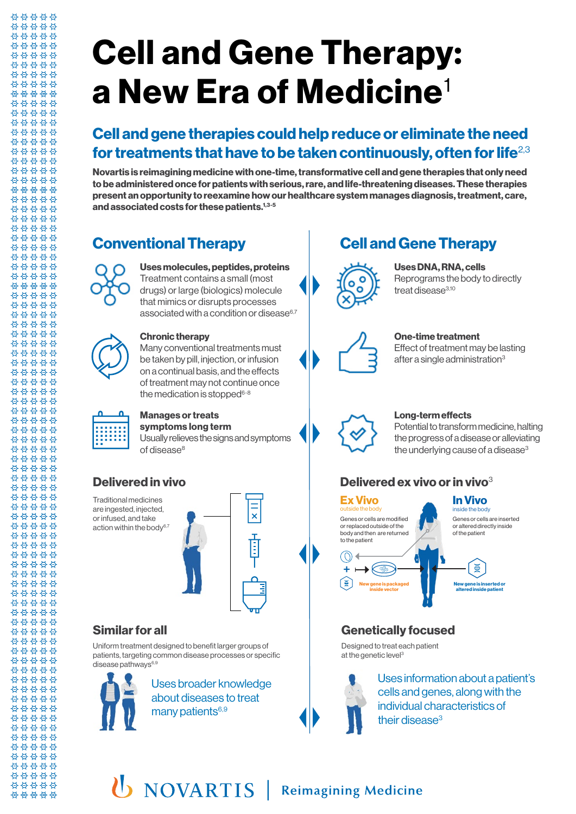# **Cell and Gene Therapy: a New Era of Medicine**<sup>1</sup>

### **Cell and gene therapies could help reduce or eliminate the need for treatments that have to be taken continuously, often for life**2,3

**Novartis is reimagining medicine with one-time, transformative cell and gene therapies that only need to be administered once for patients with serious, rare, and life-threatening diseases. These therapies present an opportunity to reexamine how our healthcare system manages diagnosis, treatment, care, and associated costs for these patients.1,3-5**

88888 \*\*\*\*\* 88888 \*\*\*\*\* 88888 88888 \*\*\*\*\* \*\*\*\*\* 88888 00000 \*\*\*\*\* \*\*\*\*\* \*\*\*\*\* 00000 \*\*\*\*\* 88888 88888 \*\*\*\*\* \*\*\*\*\* \*\*\*\*\* \*\*\*\*\* 00000 \*\*\*\*\* \*\*\*\*\* \*\*\*\*\* 88888 88888 \*\*\*\*\* 88888 88888 88888 \*\*\*\*\* 88888 \*\*\*\*\* \*\*\*\*\* \*\*\*\*\* \*\*\*\*\* \*\*\*\*\* \*\*\*\*\* 88888 88888 00000 88888 88888 88888 \*\*\*\*\* \*\*\*\*\* \*\*\*\*\* \*\*\*\*\* \*\*\*\*\* 88888 \*\*\*\*\*



#### **Uses molecules, peptides, proteins** Treatment contains a small (most drugs) or large (biologics) molecule that mimics or disrupts processes associated with a condition or disease $6,7$

**Chronic therapy**

Many conventional treatments must be taken by pill, injection, or infusion on a continual basis, and the effects of treatment may not continue once the medication is stopped $6-8$ 



88888 \*\*\*\*\* 88888

\*\*\*\*\* 88888 \*\*\*\*\*

\*\*\*\*\* \*\*\*\*\* 88888 00000 \*\*\*\*\* 88888 \*\*\*\*\* 00000 \*\*\*\*\* 88888 \*\*\*\*\* 88888 \*\*\*\*\* \*\*\*\*\* \*\*\*\*\* 00000 88888 \*\*\*\*\* \*\*\*\*\* \*\*\*\*\* 00000 \*\*\*\*\*

\*\*\*\*\* 88888

#### **Manages or treats symptoms long term**

Usually relieves the signs and symptoms of disease<sup>8</sup>

### **Delivered in vivo**

Traditional medicines are ingested, injected, or infused, and take action within the body $6,7$ 



#### **Similar for all**

Uniform treatment designed to benefit larger groups of patients, targeting common disease processes or specific disease pathways<sup>6,9</sup>



Uses broader knowledge about diseases to treat many patients<sup>6,9</sup>

### **Conventional Therapy Cell and Gene Therapy**



**Uses DNA, RNA, cells** Reprograms the body to directly treat disease<sup>3,10</sup>



### **One-time treatment**

Effect of treatment may be lasting after a single administration3



#### **Long-term effects**

Potential to transform medicine, halting the progress of a disease or alleviating the underlying cause of a disease<sup>3</sup>

### **Delivered ex vivo or in vivo**<sup>3</sup>

Genes or cells are modified or replaced outside of the body and then are returned to the patient **Ex Vivo** outside the body

#### Genes or cells are inserted or altered directly inside **In Vivo** inside the body

#### of the patient ⋚ **New gene is packaged New gene is inserted or altered inside patient inside vector**

### **Genetically focused**

Designed to treat each patient at the genetic level<sup>3</sup>



+

Uses information about a patient's cells and genes, along with the individual characteristics of their disease<sup>3</sup>

## **U** NOVARTIS | Reimagining Medicine